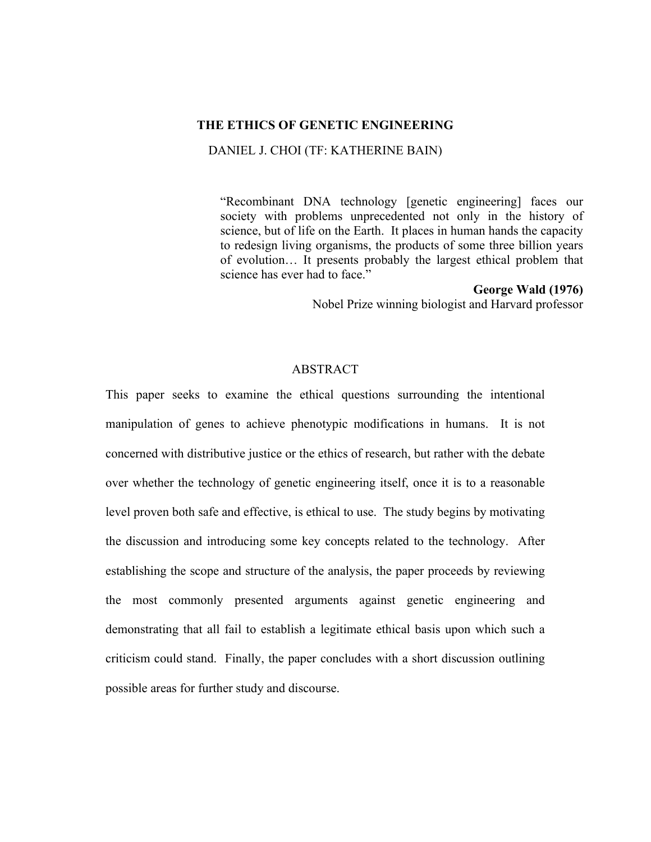## **THE ETHICS OF GENETIC ENGINEERING**

DANIEL J. CHOI (TF: KATHERINE BAIN)

"Recombinant DNA technology [genetic engineering] faces our society with problems unprecedented not only in the history of science, but of life on the Earth. It places in human hands the capacity to redesign living organisms, the products of some three billion years of evolution… It presents probably the largest ethical problem that science has ever had to face."

## **George Wald (1976)**

Nobel Prize winning biologist and Harvard professor

# ABSTRACT

This paper seeks to examine the ethical questions surrounding the intentional manipulation of genes to achieve phenotypic modifications in humans. It is not concerned with distributive justice or the ethics of research, but rather with the debate over whether the technology of genetic engineering itself, once it is to a reasonable level proven both safe and effective, is ethical to use. The study begins by motivating the discussion and introducing some key concepts related to the technology. After establishing the scope and structure of the analysis, the paper proceeds by reviewing the most commonly presented arguments against genetic engineering and demonstrating that all fail to establish a legitimate ethical basis upon which such a criticism could stand. Finally, the paper concludes with a short discussion outlining possible areas for further study and discourse.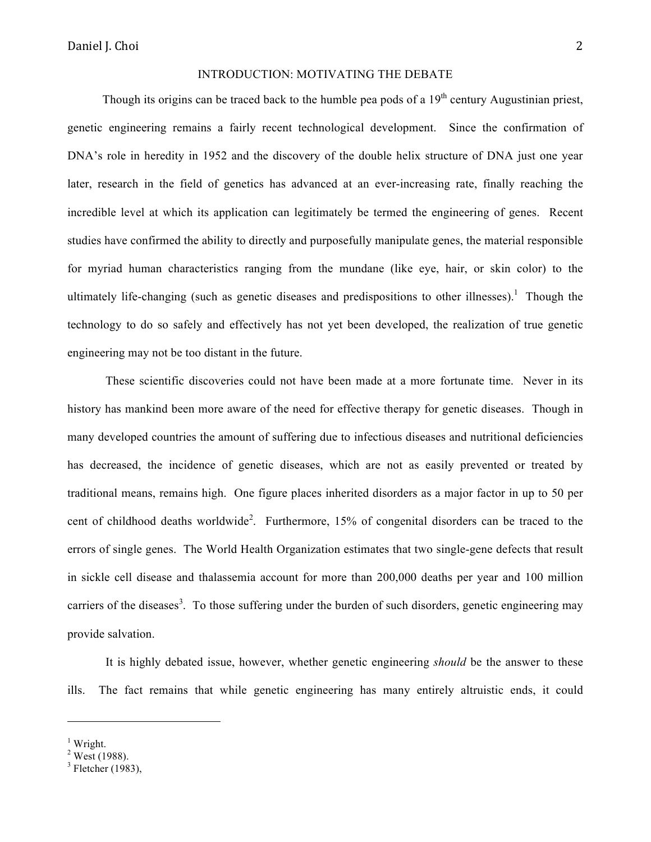#### INTRODUCTION: MOTIVATING THE DEBATE

Though its origins can be traced back to the humble pea pods of a  $19<sup>th</sup>$  century Augustinian priest, genetic engineering remains a fairly recent technological development. Since the confirmation of DNA's role in heredity in 1952 and the discovery of the double helix structure of DNA just one year later, research in the field of genetics has advanced at an ever-increasing rate, finally reaching the incredible level at which its application can legitimately be termed the engineering of genes. Recent studies have confirmed the ability to directly and purposefully manipulate genes, the material responsible for myriad human characteristics ranging from the mundane (like eye, hair, or skin color) to the ultimately life-changing (such as genetic diseases and predispositions to other illnesses).<sup>1</sup> Though the technology to do so safely and effectively has not yet been developed, the realization of true genetic engineering may not be too distant in the future.

These scientific discoveries could not have been made at a more fortunate time. Never in its history has mankind been more aware of the need for effective therapy for genetic diseases. Though in many developed countries the amount of suffering due to infectious diseases and nutritional deficiencies has decreased, the incidence of genetic diseases, which are not as easily prevented or treated by traditional means, remains high. One figure places inherited disorders as a major factor in up to 50 per cent of childhood deaths worldwide<sup>2</sup>. Furthermore, 15% of congenital disorders can be traced to the errors of single genes. The World Health Organization estimates that two single-gene defects that result in sickle cell disease and thalassemia account for more than 200,000 deaths per year and 100 million carriers of the diseases<sup>3</sup>. To those suffering under the burden of such disorders, genetic engineering may provide salvation.

It is highly debated issue, however, whether genetic engineering *should* be the answer to these ills. The fact remains that while genetic engineering has many entirely altruistic ends, it could

<sup>&</sup>lt;sup>1</sup> Wright.

 $2$  West (1988).

 $3$  Fletcher (1983).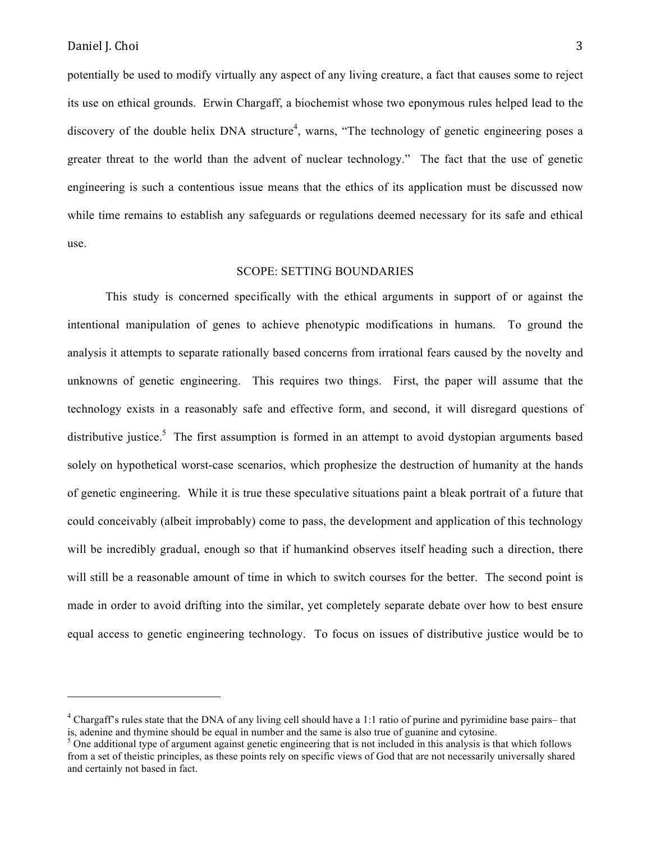potentially be used to modify virtually any aspect of any living creature, a fact that causes some to reject its use on ethical grounds. Erwin Chargaff, a biochemist whose two eponymous rules helped lead to the discovery of the double helix DNA structure<sup>4</sup>, warns, "The technology of genetic engineering poses a greater threat to the world than the advent of nuclear technology." The fact that the use of genetic engineering is such a contentious issue means that the ethics of its application must be discussed now while time remains to establish any safeguards or regulations deemed necessary for its safe and ethical use.

## SCOPE: SETTING BOUNDARIES

This study is concerned specifically with the ethical arguments in support of or against the intentional manipulation of genes to achieve phenotypic modifications in humans. To ground the analysis it attempts to separate rationally based concerns from irrational fears caused by the novelty and unknowns of genetic engineering. This requires two things. First, the paper will assume that the technology exists in a reasonably safe and effective form, and second, it will disregard questions of distributive justice.<sup>5</sup> The first assumption is formed in an attempt to avoid dystopian arguments based solely on hypothetical worst-case scenarios, which prophesize the destruction of humanity at the hands of genetic engineering. While it is true these speculative situations paint a bleak portrait of a future that could conceivably (albeit improbably) come to pass, the development and application of this technology will be incredibly gradual, enough so that if humankind observes itself heading such a direction, there will still be a reasonable amount of time in which to switch courses for the better. The second point is made in order to avoid drifting into the similar, yet completely separate debate over how to best ensure equal access to genetic engineering technology. To focus on issues of distributive justice would be to

<sup>&</sup>lt;sup>4</sup> Chargaff's rules state that the DNA of any living cell should have a 1:1 ratio of purine and pyrimidine base pairs– that is, adenine and thymine should be equal in number and the same is also true of guanine and cytosine.

 $5$  One additional type of argument against genetic engineering that is not included in this analysis is that which follows from a set of theistic principles, as these points rely on specific views of God that are not necessarily universally shared and certainly not based in fact.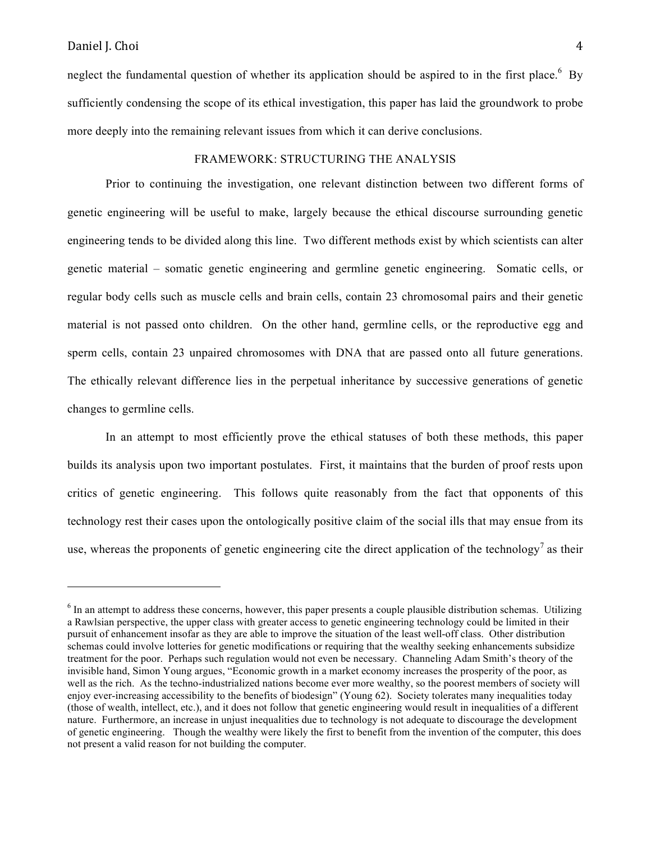neglect the fundamental question of whether its application should be aspired to in the first place.  $6\,$  By sufficiently condensing the scope of its ethical investigation, this paper has laid the groundwork to probe more deeply into the remaining relevant issues from which it can derive conclusions.

## FRAMEWORK: STRUCTURING THE ANALYSIS

Prior to continuing the investigation, one relevant distinction between two different forms of genetic engineering will be useful to make, largely because the ethical discourse surrounding genetic engineering tends to be divided along this line. Two different methods exist by which scientists can alter genetic material – somatic genetic engineering and germline genetic engineering. Somatic cells, or regular body cells such as muscle cells and brain cells, contain 23 chromosomal pairs and their genetic material is not passed onto children. On the other hand, germline cells, or the reproductive egg and sperm cells, contain 23 unpaired chromosomes with DNA that are passed onto all future generations. The ethically relevant difference lies in the perpetual inheritance by successive generations of genetic changes to germline cells.

In an attempt to most efficiently prove the ethical statuses of both these methods, this paper builds its analysis upon two important postulates. First, it maintains that the burden of proof rests upon critics of genetic engineering. This follows quite reasonably from the fact that opponents of this technology rest their cases upon the ontologically positive claim of the social ills that may ensue from its use, whereas the proponents of genetic engineering cite the direct application of the technology<sup>7</sup> as their

 $<sup>6</sup>$  In an attempt to address these concerns, however, this paper presents a couple plausible distribution schemas. Utilizing</sup> a Rawlsian perspective, the upper class with greater access to genetic engineering technology could be limited in their pursuit of enhancement insofar as they are able to improve the situation of the least well-off class. Other distribution schemas could involve lotteries for genetic modifications or requiring that the wealthy seeking enhancements subsidize treatment for the poor. Perhaps such regulation would not even be necessary. Channeling Adam Smith's theory of the invisible hand, Simon Young argues, "Economic growth in a market economy increases the prosperity of the poor, as well as the rich. As the techno-industrialized nations become ever more wealthy, so the poorest members of society will enjoy ever-increasing accessibility to the benefits of biodesign" (Young 62). Society tolerates many inequalities today (those of wealth, intellect, etc.), and it does not follow that genetic engineering would result in inequalities of a different nature. Furthermore, an increase in unjust inequalities due to technology is not adequate to discourage the development of genetic engineering. Though the wealthy were likely the first to benefit from the invention of the computer, this does not present a valid reason for not building the computer.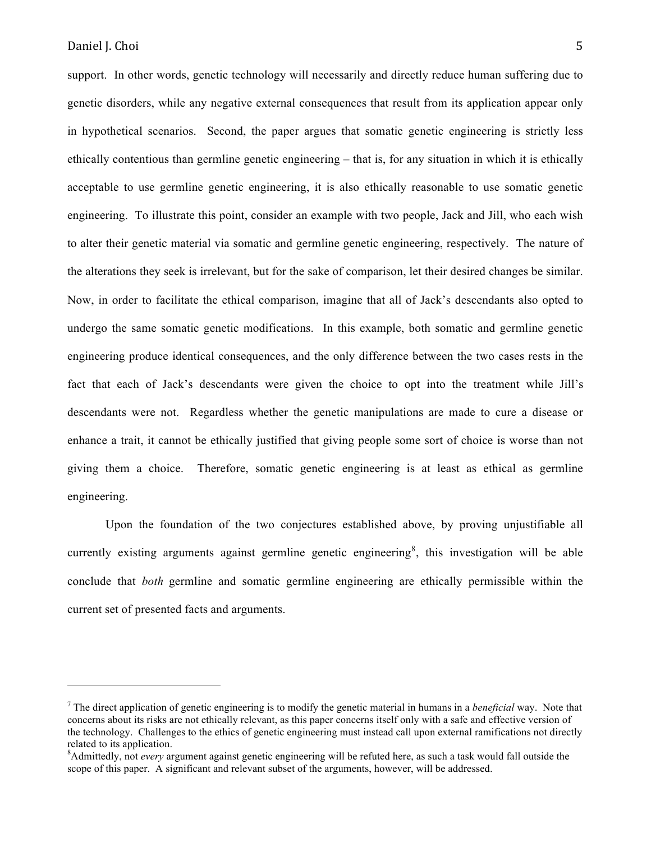support. In other words, genetic technology will necessarily and directly reduce human suffering due to genetic disorders, while any negative external consequences that result from its application appear only in hypothetical scenarios. Second, the paper argues that somatic genetic engineering is strictly less ethically contentious than germline genetic engineering – that is, for any situation in which it is ethically acceptable to use germline genetic engineering, it is also ethically reasonable to use somatic genetic engineering. To illustrate this point, consider an example with two people, Jack and Jill, who each wish to alter their genetic material via somatic and germline genetic engineering, respectively. The nature of the alterations they seek is irrelevant, but for the sake of comparison, let their desired changes be similar. Now, in order to facilitate the ethical comparison, imagine that all of Jack's descendants also opted to undergo the same somatic genetic modifications. In this example, both somatic and germline genetic engineering produce identical consequences, and the only difference between the two cases rests in the fact that each of Jack's descendants were given the choice to opt into the treatment while Jill's descendants were not. Regardless whether the genetic manipulations are made to cure a disease or enhance a trait, it cannot be ethically justified that giving people some sort of choice is worse than not giving them a choice. Therefore, somatic genetic engineering is at least as ethical as germline engineering.

Upon the foundation of the two conjectures established above, by proving unjustifiable all currently existing arguments against germline genetic engineering<sup>8</sup>, this investigation will be able conclude that *both* germline and somatic germline engineering are ethically permissible within the current set of presented facts and arguments.

<sup>7</sup> The direct application of genetic engineering is to modify the genetic material in humans in a *beneficial* way. Note that concerns about its risks are not ethically relevant, as this paper concerns itself only with a safe and effective version of the technology. Challenges to the ethics of genetic engineering must instead call upon external ramifications not directly related to its application.

<sup>8</sup> Admittedly, not *every* argument against genetic engineering will be refuted here, as such a task would fall outside the scope of this paper. A significant and relevant subset of the arguments, however, will be addressed.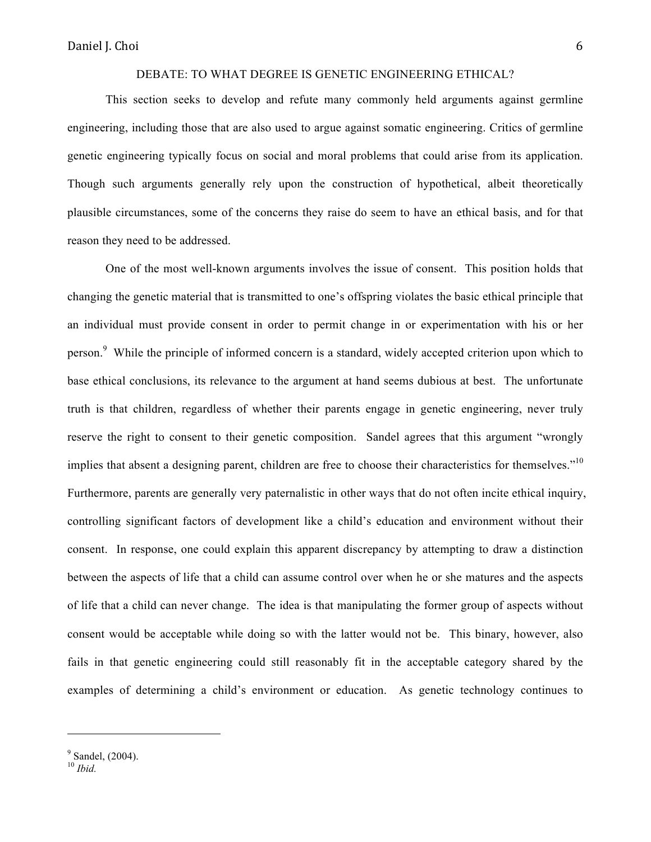# DEBATE: TO WHAT DEGREE IS GENETIC ENGINEERING ETHICAL?

This section seeks to develop and refute many commonly held arguments against germline engineering, including those that are also used to argue against somatic engineering. Critics of germline genetic engineering typically focus on social and moral problems that could arise from its application. Though such arguments generally rely upon the construction of hypothetical, albeit theoretically plausible circumstances, some of the concerns they raise do seem to have an ethical basis, and for that reason they need to be addressed.

One of the most well-known arguments involves the issue of consent. This position holds that changing the genetic material that is transmitted to one's offspring violates the basic ethical principle that an individual must provide consent in order to permit change in or experimentation with his or her person.<sup>9</sup> While the principle of informed concern is a standard, widely accepted criterion upon which to base ethical conclusions, its relevance to the argument at hand seems dubious at best. The unfortunate truth is that children, regardless of whether their parents engage in genetic engineering, never truly reserve the right to consent to their genetic composition. Sandel agrees that this argument "wrongly implies that absent a designing parent, children are free to choose their characteristics for themselves."<sup>10</sup> Furthermore, parents are generally very paternalistic in other ways that do not often incite ethical inquiry, controlling significant factors of development like a child's education and environment without their consent. In response, one could explain this apparent discrepancy by attempting to draw a distinction between the aspects of life that a child can assume control over when he or she matures and the aspects of life that a child can never change. The idea is that manipulating the former group of aspects without consent would be acceptable while doing so with the latter would not be. This binary, however, also fails in that genetic engineering could still reasonably fit in the acceptable category shared by the examples of determining a child's environment or education. As genetic technology continues to

<sup>&</sup>lt;sup>9</sup> Sandel, (2004).

<sup>10</sup> *Ibid.*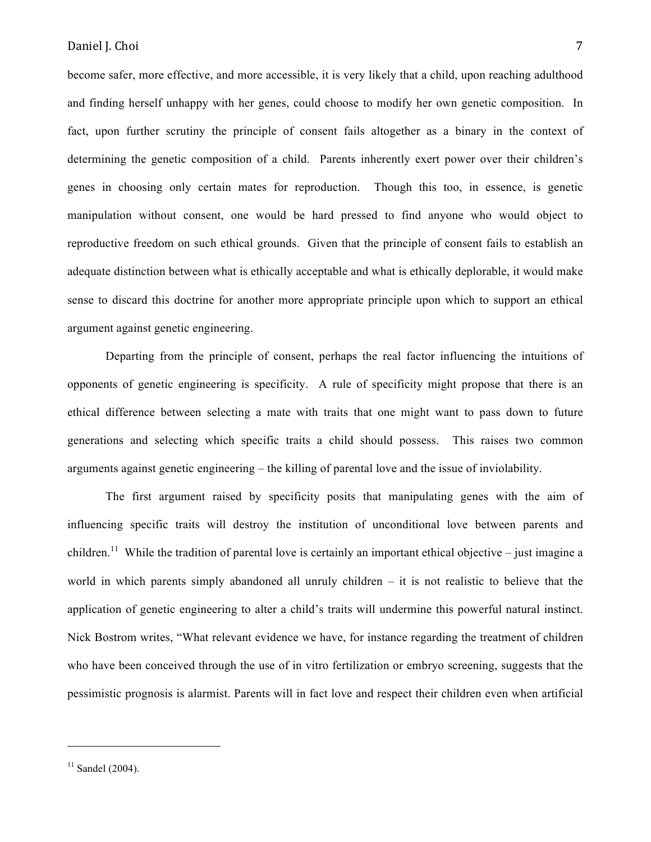become safer, more effective, and more accessible, it is very likely that a child, upon reaching adulthood and finding herself unhappy with her genes, could choose to modify her own genetic composition. In fact, upon further scrutiny the principle of consent fails altogether as a binary in the context of determining the genetic composition of a child. Parents inherently exert power over their children's genes in choosing only certain mates for reproduction. Though this too, in essence, is genetic manipulation without consent, one would be hard pressed to find anyone who would object to reproductive freedom on such ethical grounds. Given that the principle of consent fails to establish an adequate distinction between what is ethically acceptable and what is ethically deplorable, it would make sense to discard this doctrine for another more appropriate principle upon which to support an ethical argument against genetic engineering.

Departing from the principle of consent, perhaps the real factor influencing the intuitions of opponents of genetic engineering is specificity. A rule of specificity might propose that there is an ethical difference between selecting a mate with traits that one might want to pass down to future generations and selecting which specific traits a child should possess. This raises two common arguments against genetic engineering – the killing of parental love and the issue of inviolability.

The first argument raised by specificity posits that manipulating genes with the aim of influencing specific traits will destroy the institution of unconditional love between parents and children.<sup>11</sup> While the tradition of parental love is certainly an important ethical objective – just imagine a world in which parents simply abandoned all unruly children – it is not realistic to believe that the application of genetic engineering to alter a child's traits will undermine this powerful natural instinct. Nick Bostrom writes, "What relevant evidence we have, for instance regarding the treatment of children who have been conceived through the use of in vitro fertilization or embryo screening, suggests that the pessimistic prognosis is alarmist. Parents will in fact love and respect their children even when artificial

 $11$  Sandel (2004).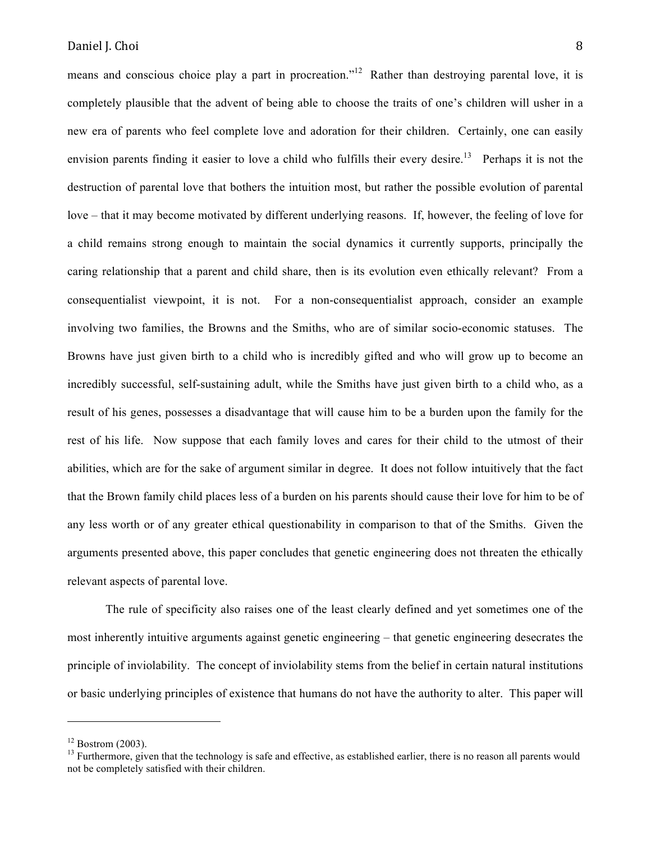means and conscious choice play a part in procreation."<sup>12</sup> Rather than destroying parental love, it is completely plausible that the advent of being able to choose the traits of one's children will usher in a new era of parents who feel complete love and adoration for their children. Certainly, one can easily envision parents finding it easier to love a child who fulfills their every desire.<sup>13</sup> Perhaps it is not the destruction of parental love that bothers the intuition most, but rather the possible evolution of parental love – that it may become motivated by different underlying reasons. If, however, the feeling of love for a child remains strong enough to maintain the social dynamics it currently supports, principally the caring relationship that a parent and child share, then is its evolution even ethically relevant? From a consequentialist viewpoint, it is not. For a non-consequentialist approach, consider an example involving two families, the Browns and the Smiths, who are of similar socio-economic statuses. The Browns have just given birth to a child who is incredibly gifted and who will grow up to become an incredibly successful, self-sustaining adult, while the Smiths have just given birth to a child who, as a result of his genes, possesses a disadvantage that will cause him to be a burden upon the family for the rest of his life. Now suppose that each family loves and cares for their child to the utmost of their abilities, which are for the sake of argument similar in degree. It does not follow intuitively that the fact that the Brown family child places less of a burden on his parents should cause their love for him to be of any less worth or of any greater ethical questionability in comparison to that of the Smiths. Given the arguments presented above, this paper concludes that genetic engineering does not threaten the ethically relevant aspects of parental love.

The rule of specificity also raises one of the least clearly defined and yet sometimes one of the most inherently intuitive arguments against genetic engineering – that genetic engineering desecrates the principle of inviolability. The concept of inviolability stems from the belief in certain natural institutions or basic underlying principles of existence that humans do not have the authority to alter. This paper will

 $12$  Bostrom (2003).

<sup>&</sup>lt;sup>13</sup> Furthermore, given that the technology is safe and effective, as established earlier, there is no reason all parents would not be completely satisfied with their children.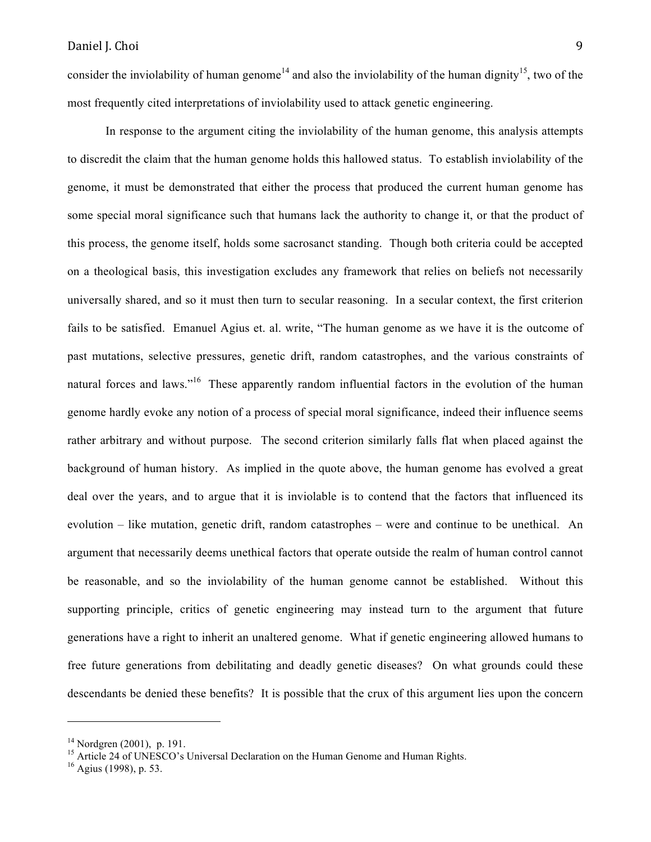consider the inviolability of human genome<sup>14</sup> and also the inviolability of the human dignity<sup>15</sup>, two of the most frequently cited interpretations of inviolability used to attack genetic engineering.

In response to the argument citing the inviolability of the human genome, this analysis attempts to discredit the claim that the human genome holds this hallowed status. To establish inviolability of the genome, it must be demonstrated that either the process that produced the current human genome has some special moral significance such that humans lack the authority to change it, or that the product of this process, the genome itself, holds some sacrosanct standing. Though both criteria could be accepted on a theological basis, this investigation excludes any framework that relies on beliefs not necessarily universally shared, and so it must then turn to secular reasoning. In a secular context, the first criterion fails to be satisfied. Emanuel Agius et. al. write, "The human genome as we have it is the outcome of past mutations, selective pressures, genetic drift, random catastrophes, and the various constraints of natural forces and laws."<sup>16</sup> These apparently random influential factors in the evolution of the human genome hardly evoke any notion of a process of special moral significance, indeed their influence seems rather arbitrary and without purpose. The second criterion similarly falls flat when placed against the background of human history. As implied in the quote above, the human genome has evolved a great deal over the years, and to argue that it is inviolable is to contend that the factors that influenced its evolution – like mutation, genetic drift, random catastrophes – were and continue to be unethical. An argument that necessarily deems unethical factors that operate outside the realm of human control cannot be reasonable, and so the inviolability of the human genome cannot be established. Without this supporting principle, critics of genetic engineering may instead turn to the argument that future generations have a right to inherit an unaltered genome. What if genetic engineering allowed humans to free future generations from debilitating and deadly genetic diseases? On what grounds could these descendants be denied these benefits? It is possible that the crux of this argument lies upon the concern

<sup>&</sup>lt;sup>14</sup> Nordgren (2001), p. 191.<br><sup>15</sup> Article 24 of UNESCO's Universal Declaration on the Human Genome and Human Rights.<br><sup>16</sup> Agius (1998), p. 53.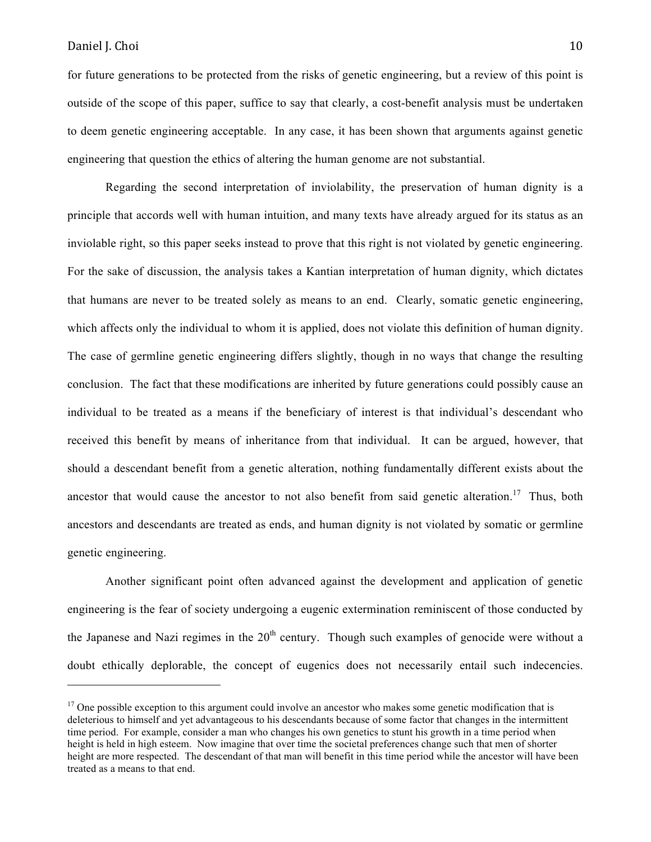for future generations to be protected from the risks of genetic engineering, but a review of this point is outside of the scope of this paper, suffice to say that clearly, a cost-benefit analysis must be undertaken to deem genetic engineering acceptable. In any case, it has been shown that arguments against genetic engineering that question the ethics of altering the human genome are not substantial.

Regarding the second interpretation of inviolability, the preservation of human dignity is a principle that accords well with human intuition, and many texts have already argued for its status as an inviolable right, so this paper seeks instead to prove that this right is not violated by genetic engineering. For the sake of discussion, the analysis takes a Kantian interpretation of human dignity, which dictates that humans are never to be treated solely as means to an end. Clearly, somatic genetic engineering, which affects only the individual to whom it is applied, does not violate this definition of human dignity. The case of germline genetic engineering differs slightly, though in no ways that change the resulting conclusion. The fact that these modifications are inherited by future generations could possibly cause an individual to be treated as a means if the beneficiary of interest is that individual's descendant who received this benefit by means of inheritance from that individual. It can be argued, however, that should a descendant benefit from a genetic alteration, nothing fundamentally different exists about the ancestor that would cause the ancestor to not also benefit from said genetic alteration.<sup>17</sup> Thus, both ancestors and descendants are treated as ends, and human dignity is not violated by somatic or germline genetic engineering.

Another significant point often advanced against the development and application of genetic engineering is the fear of society undergoing a eugenic extermination reminiscent of those conducted by the Japanese and Nazi regimes in the  $20<sup>th</sup>$  century. Though such examples of genocide were without a doubt ethically deplorable, the concept of eugenics does not necessarily entail such indecencies.

 $17$  One possible exception to this argument could involve an ancestor who makes some genetic modification that is deleterious to himself and yet advantageous to his descendants because of some factor that changes in the intermittent time period. For example, consider a man who changes his own genetics to stunt his growth in a time period when height is held in high esteem. Now imagine that over time the societal preferences change such that men of shorter height are more respected. The descendant of that man will benefit in this time period while the ancestor will have been treated as a means to that end.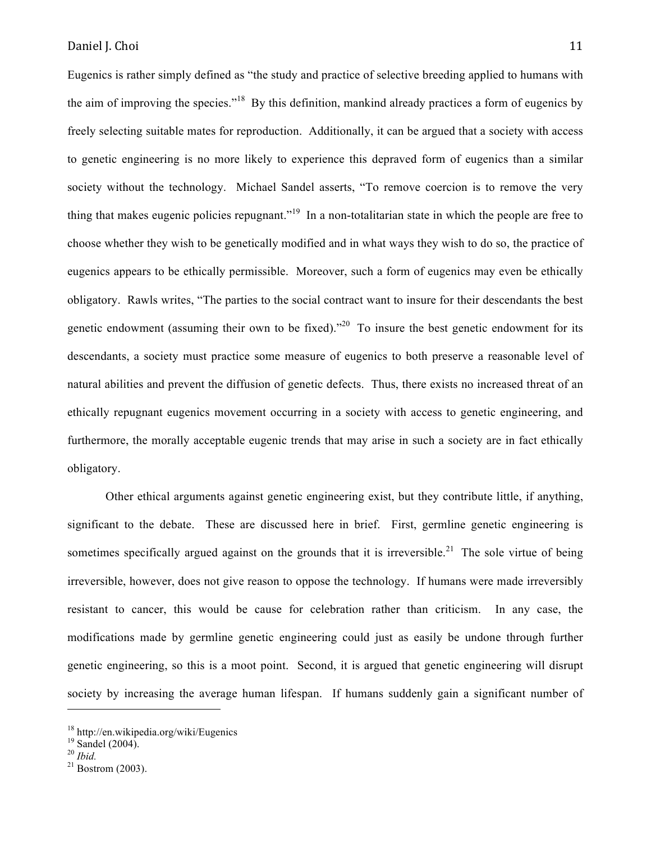Eugenics is rather simply defined as "the study and practice of selective breeding applied to humans with the aim of improving the species."18 By this definition, mankind already practices a form of eugenics by freely selecting suitable mates for reproduction. Additionally, it can be argued that a society with access to genetic engineering is no more likely to experience this depraved form of eugenics than a similar society without the technology. Michael Sandel asserts, "To remove coercion is to remove the very thing that makes eugenic policies repugnant."<sup>19</sup> In a non-totalitarian state in which the people are free to choose whether they wish to be genetically modified and in what ways they wish to do so, the practice of eugenics appears to be ethically permissible. Moreover, such a form of eugenics may even be ethically obligatory. Rawls writes, "The parties to the social contract want to insure for their descendants the best genetic endowment (assuming their own to be fixed).<sup>220</sup> To insure the best genetic endowment for its descendants, a society must practice some measure of eugenics to both preserve a reasonable level of natural abilities and prevent the diffusion of genetic defects. Thus, there exists no increased threat of an ethically repugnant eugenics movement occurring in a society with access to genetic engineering, and furthermore, the morally acceptable eugenic trends that may arise in such a society are in fact ethically obligatory.

Other ethical arguments against genetic engineering exist, but they contribute little, if anything, significant to the debate. These are discussed here in brief. First, germline genetic engineering is sometimes specifically argued against on the grounds that it is irreversible.<sup>21</sup> The sole virtue of being irreversible, however, does not give reason to oppose the technology. If humans were made irreversibly resistant to cancer, this would be cause for celebration rather than criticism. In any case, the modifications made by germline genetic engineering could just as easily be undone through further genetic engineering, so this is a moot point. Second, it is argued that genetic engineering will disrupt society by increasing the average human lifespan. If humans suddenly gain a significant number of

<sup>18</sup> http://en.wikipedia.org/wiki/Eugenics

 $^{19}$  Sandel (2004).

<sup>&</sup>lt;sup>21</sup> Bostrom (2003).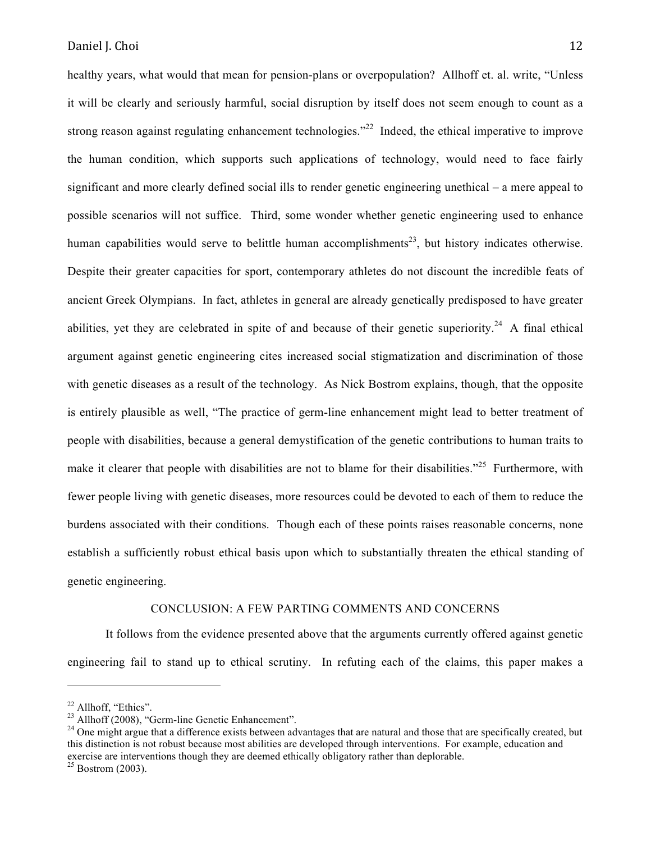healthy years, what would that mean for pension-plans or overpopulation? Allhoff et. al. write, "Unless it will be clearly and seriously harmful, social disruption by itself does not seem enough to count as a strong reason against regulating enhancement technologies."<sup>22</sup> Indeed, the ethical imperative to improve the human condition, which supports such applications of technology, would need to face fairly significant and more clearly defined social ills to render genetic engineering unethical – a mere appeal to possible scenarios will not suffice. Third, some wonder whether genetic engineering used to enhance human capabilities would serve to belittle human accomplishments<sup>23</sup>, but history indicates otherwise. Despite their greater capacities for sport, contemporary athletes do not discount the incredible feats of ancient Greek Olympians. In fact, athletes in general are already genetically predisposed to have greater abilities, yet they are celebrated in spite of and because of their genetic superiority.<sup>24</sup> A final ethical argument against genetic engineering cites increased social stigmatization and discrimination of those with genetic diseases as a result of the technology. As Nick Bostrom explains, though, that the opposite is entirely plausible as well, "The practice of germ-line enhancement might lead to better treatment of people with disabilities, because a general demystification of the genetic contributions to human traits to make it clearer that people with disabilities are not to blame for their disabilities."<sup>25</sup> Furthermore, with fewer people living with genetic diseases, more resources could be devoted to each of them to reduce the burdens associated with their conditions. Though each of these points raises reasonable concerns, none establish a sufficiently robust ethical basis upon which to substantially threaten the ethical standing of genetic engineering.

## CONCLUSION: A FEW PARTING COMMENTS AND CONCERNS

It follows from the evidence presented above that the arguments currently offered against genetic engineering fail to stand up to ethical scrutiny. In refuting each of the claims, this paper makes a

<sup>&</sup>lt;sup>22</sup> Allhoff, "Ethics".<br><sup>23</sup> Allhoff (2008), "Germ-line Genetic Enhancement".

<sup>&</sup>lt;sup>24</sup> One might argue that a difference exists between advantages that are natural and those that are specifically created, but this distinction is not robust because most abilities are developed through interventions. For example, education and exercise are interventions though they are deemed ethically obligatory rather than deplorable.

 $25$  Bostrom (2003).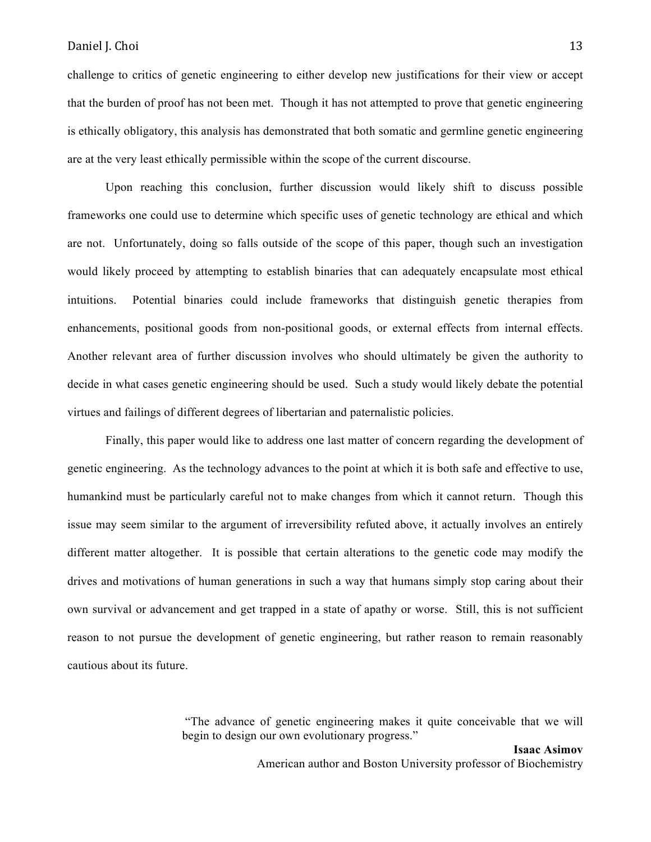challenge to critics of genetic engineering to either develop new justifications for their view or accept that the burden of proof has not been met. Though it has not attempted to prove that genetic engineering is ethically obligatory, this analysis has demonstrated that both somatic and germline genetic engineering are at the very least ethically permissible within the scope of the current discourse.

Upon reaching this conclusion, further discussion would likely shift to discuss possible frameworks one could use to determine which specific uses of genetic technology are ethical and which are not. Unfortunately, doing so falls outside of the scope of this paper, though such an investigation would likely proceed by attempting to establish binaries that can adequately encapsulate most ethical intuitions. Potential binaries could include frameworks that distinguish genetic therapies from enhancements, positional goods from non-positional goods, or external effects from internal effects. Another relevant area of further discussion involves who should ultimately be given the authority to decide in what cases genetic engineering should be used. Such a study would likely debate the potential virtues and failings of different degrees of libertarian and paternalistic policies.

Finally, this paper would like to address one last matter of concern regarding the development of genetic engineering. As the technology advances to the point at which it is both safe and effective to use, humankind must be particularly careful not to make changes from which it cannot return. Though this issue may seem similar to the argument of irreversibility refuted above, it actually involves an entirely different matter altogether. It is possible that certain alterations to the genetic code may modify the drives and motivations of human generations in such a way that humans simply stop caring about their own survival or advancement and get trapped in a state of apathy or worse. Still, this is not sufficient reason to not pursue the development of genetic engineering, but rather reason to remain reasonably cautious about its future.

> "The advance of genetic engineering makes it quite conceivable that we will begin to design our own evolutionary progress."

American author and Boston University professor of Biochemistry